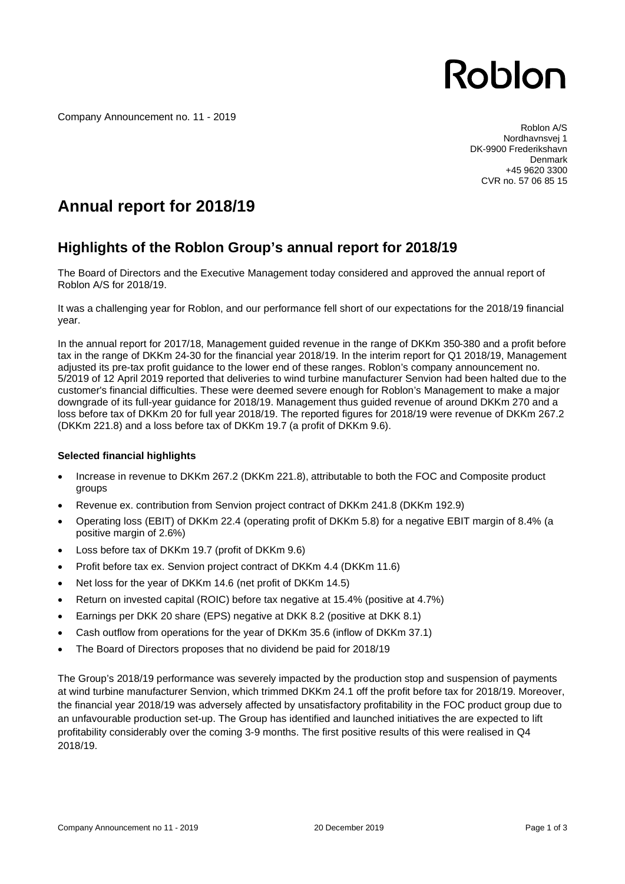Roblon

Company Announcement no. 11 - 2019

 Roblon A/S Nordhavnsvej 1 DK-9900 Frederikshavn Denmark +45 9620 3300 CVR no. 57 06 85 15

### **Annual report for 2018/19**

### **Highlights of the Roblon Group's annual report for 2018/19**

The Board of Directors and the Executive Management today considered and approved the annual report of Roblon A/S for 2018/19.

It was a challenging year for Roblon, and our performance fell short of our expectations for the 2018/19 financial year.

In the annual report for 2017/18, Management guided revenue in the range of DKKm 350-380 and a profit before tax in the range of DKKm 24-30 for the financial year 2018/19. In the interim report for Q1 2018/19, Management adjusted its pre-tax profit guidance to the lower end of these ranges. Roblon's company announcement no. 5/2019 of 12 April 2019 reported that deliveries to wind turbine manufacturer Senvion had been halted due to the customer's financial difficulties. These were deemed severe enough for Roblon's Management to make a major downgrade of its full-year guidance for 2018/19. Management thus guided revenue of around DKKm 270 and a loss before tax of DKKm 20 for full year 2018/19. The reported figures for 2018/19 were revenue of DKKm 267.2 (DKKm 221.8) and a loss before tax of DKKm 19.7 (a profit of DKKm 9.6).

#### **Selected financial highlights**

- Increase in revenue to DKKm 267.2 (DKKm 221.8), attributable to both the FOC and Composite product groups
- Revenue ex. contribution from Senvion project contract of DKKm 241.8 (DKKm 192.9)
- · Operating loss (EBIT) of DKKm 22.4 (operating profit of DKKm 5.8) for a negative EBIT margin of 8.4% (a positive margin of 2.6%)
- · Loss before tax of DKKm 19.7 (profit of DKKm 9.6)
- Profit before tax ex. Senvion project contract of DKKm 4.4 (DKKm 11.6)
- Net loss for the year of DKKm 14.6 (net profit of DKKm 14.5)
- · Return on invested capital (ROIC) before tax negative at 15.4% (positive at 4.7%)
- Earnings per DKK 20 share (EPS) negative at DKK 8.2 (positive at DKK 8.1)
- · Cash outflow from operations for the year of DKKm 35.6 (inflow of DKKm 37.1)
- The Board of Directors proposes that no dividend be paid for 2018/19

The Group's 2018/19 performance was severely impacted by the production stop and suspension of payments at wind turbine manufacturer Senvion, which trimmed DKKm 24.1 off the profit before tax for 2018/19. Moreover, the financial year 2018/19 was adversely affected by unsatisfactory profitability in the FOC product group due to an unfavourable production set-up. The Group has identified and launched initiatives the are expected to lift profitability considerably over the coming 3-9 months. The first positive results of this were realised in Q4 2018/19.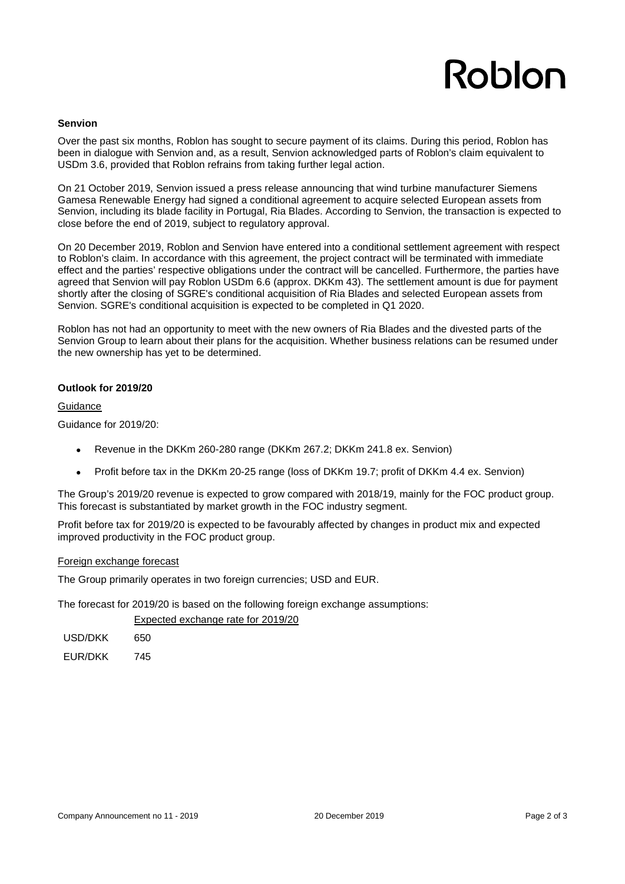# Roblon

#### **Senvion**

Over the past six months, Roblon has sought to secure payment of its claims. During this period, Roblon has been in dialogue with Senvion and, as a result, Senvion acknowledged parts of Roblon's claim equivalent to USDm 3.6, provided that Roblon refrains from taking further legal action.

On 21 October 2019, Senvion issued a press release announcing that wind turbine manufacturer Siemens Gamesa Renewable Energy had signed a conditional agreement to acquire selected European assets from Senvion, including its blade facility in Portugal, Ria Blades. According to Senvion, the transaction is expected to close before the end of 2019, subject to regulatory approval.

On 20 December 2019, Roblon and Senvion have entered into a conditional settlement agreement with respect to Roblon's claim. In accordance with this agreement, the project contract will be terminated with immediate effect and the parties' respective obligations under the contract will be cancelled. Furthermore, the parties have agreed that Senvion will pay Roblon USDm 6.6 (approx. DKKm 43). The settlement amount is due for payment shortly after the closing of SGRE's conditional acquisition of Ria Blades and selected European assets from Senvion. SGRE's conditional acquisition is expected to be completed in Q1 2020.

Roblon has not had an opportunity to meet with the new owners of Ria Blades and the divested parts of the Senvion Group to learn about their plans for the acquisition. Whether business relations can be resumed under the new ownership has yet to be determined.

#### **Outlook for 2019/20**

**Guidance** 

Guidance for 2019/20:

- Revenue in the DKKm 260-280 range (DKKm 267.2; DKKm 241.8 ex. Senvion)
- Profit before tax in the DKKm 20-25 range (loss of DKKm 19.7; profit of DKKm 4.4 ex. Senvion)

The Group's 2019/20 revenue is expected to grow compared with 2018/19, mainly for the FOC product group. This forecast is substantiated by market growth in the FOC industry segment.

Profit before tax for 2019/20 is expected to be favourably affected by changes in product mix and expected improved productivity in the FOC product group.

#### Foreign exchange forecast

The Group primarily operates in two foreign currencies; USD and EUR.

The forecast for 2019/20 is based on the following foreign exchange assumptions:

Expected exchange rate for 2019/20

USD/DKK 650

EUR/DKK 745